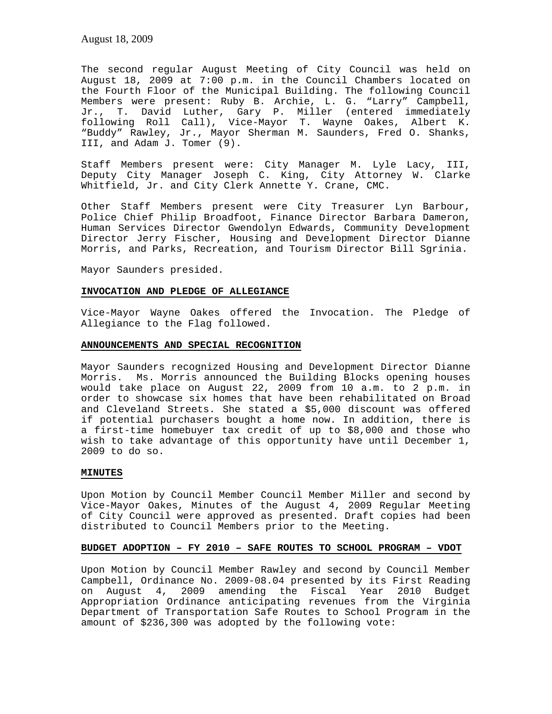The second regular August Meeting of City Council was held on August 18, 2009 at 7:00 p.m. in the Council Chambers located on the Fourth Floor of the Municipal Building. The following Council Members were present: Ruby B. Archie, L. G. "Larry" Campbell, Jr., T. David Luther, Gary P. Miller (entered immediately following Roll Call), Vice-Mayor T. Wayne Oakes, Albert K. "Buddy" Rawley, Jr., Mayor Sherman M. Saunders, Fred O. Shanks, III, and Adam J. Tomer (9).

Staff Members present were: City Manager M. Lyle Lacy, III, Deputy City Manager Joseph C. King, City Attorney W. Clarke Whitfield, Jr. and City Clerk Annette Y. Crane, CMC.

Other Staff Members present were City Treasurer Lyn Barbour, Police Chief Philip Broadfoot, Finance Director Barbara Dameron, Human Services Director Gwendolyn Edwards, Community Development Director Jerry Fischer, Housing and Development Director Dianne Morris, and Parks, Recreation, and Tourism Director Bill Sgrinia.

Mayor Saunders presided.

### **INVOCATION AND PLEDGE OF ALLEGIANCE**

Vice-Mayor Wayne Oakes offered the Invocation. The Pledge of Allegiance to the Flag followed.

### **ANNOUNCEMENTS AND SPECIAL RECOGNITION**

Mayor Saunders recognized Housing and Development Director Dianne Morris. Ms. Morris announced the Building Blocks opening houses would take place on August 22, 2009 from 10 a.m. to 2 p.m. in order to showcase six homes that have been rehabilitated on Broad and Cleveland Streets. She stated a \$5,000 discount was offered if potential purchasers bought a home now. In addition, there is a first-time homebuyer tax credit of up to \$8,000 and those who wish to take advantage of this opportunity have until December 1, 2009 to do so.

## **MINUTES**

Upon Motion by Council Member Council Member Miller and second by Vice-Mayor Oakes, Minutes of the August 4, 2009 Regular Meeting of City Council were approved as presented. Draft copies had been distributed to Council Members prior to the Meeting.

## **BUDGET ADOPTION – FY 2010 – SAFE ROUTES TO SCHOOL PROGRAM – VDOT**

Upon Motion by Council Member Rawley and second by Council Member Campbell, Ordinance No. 2009-08.04 presented by its First Reading on August 4, 2009 amending the Fiscal Year 2010 Budget Appropriation Ordinance anticipating revenues from the Virginia Department of Transportation Safe Routes to School Program in the amount of \$236,300 was adopted by the following vote: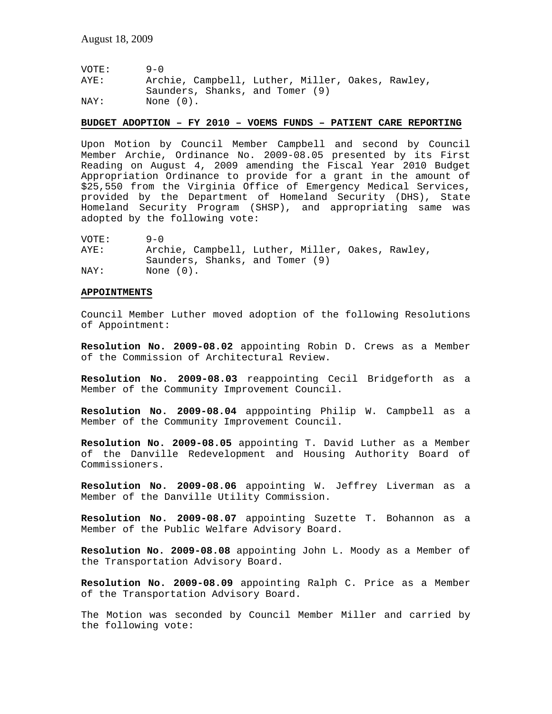| VOTE: | $9 - 0$                                          |
|-------|--------------------------------------------------|
| AYE:  | Archie, Campbell, Luther, Miller, Oakes, Rawley, |
|       | Saunders, Shanks, and Tomer (9)                  |
| NAY:  | None (0).                                        |

#### **BUDGET ADOPTION – FY 2010 – VOEMS FUNDS – PATIENT CARE REPORTING**

Upon Motion by Council Member Campbell and second by Council Member Archie, Ordinance No. 2009-08.05 presented by its First Reading on August 4, 2009 amending the Fiscal Year 2010 Budget Appropriation Ordinance to provide for a grant in the amount of \$25,550 from the Virginia Office of Emergency Medical Services, provided by the Department of Homeland Security (DHS), State Homeland Security Program (SHSP), and appropriating same was adopted by the following vote:

| VOTE: | $9 - 0$                                          |
|-------|--------------------------------------------------|
| AYE:  | Archie, Campbell, Luther, Miller, Oakes, Rawley, |
|       | Saunders, Shanks, and Tomer (9)                  |
| NAY:  | None (0).                                        |

#### **APPOINTMENTS**

Council Member Luther moved adoption of the following Resolutions of Appointment:

**Resolution No. 2009-08.02** appointing Robin D. Crews as a Member of the Commission of Architectural Review.

**Resolution No. 2009-08.03** reappointing Cecil Bridgeforth as a Member of the Community Improvement Council.

**Resolution No. 2009-08.04** apppointing Philip W. Campbell as a Member of the Community Improvement Council.

**Resolution No. 2009-08.05** appointing T. David Luther as a Member of the Danville Redevelopment and Housing Authority Board of Commissioners.

**Resolution No. 2009-08.06** appointing W. Jeffrey Liverman as a Member of the Danville Utility Commission.

**Resolution No. 2009-08.07** appointing Suzette T. Bohannon as a Member of the Public Welfare Advisory Board.

**Resolution No. 2009-08.08** appointing John L. Moody as a Member of the Transportation Advisory Board.

**Resolution No. 2009-08.09** appointing Ralph C. Price as a Member of the Transportation Advisory Board.

The Motion was seconded by Council Member Miller and carried by the following vote: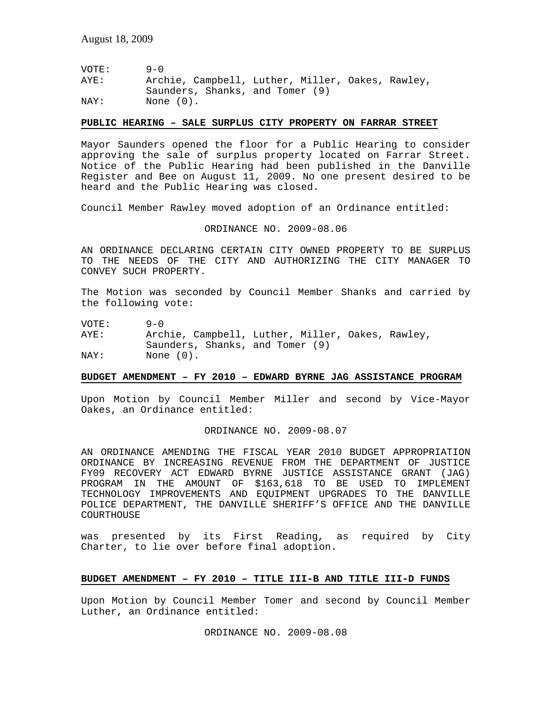| VOTE: | $9 - 0$                                          |
|-------|--------------------------------------------------|
| AYE:  | Archie, Campbell, Luther, Miller, Oakes, Rawley, |
|       | Saunders, Shanks, and Tomer (9)                  |
| NAY:  | None (0).                                        |

### **PUBLIC HEARING – SALE SURPLUS CITY PROPERTY ON FARRAR STREET**

Mayor Saunders opened the floor for a Public Hearing to consider approving the sale of surplus property located on Farrar Street. Notice of the Public Hearing had been published in the Danville Register and Bee on August 11, 2009. No one present desired to be heard and the Public Hearing was closed.

Council Member Rawley moved adoption of an Ordinance entitled:

ORDINANCE NO. 2009-08.06

AN ORDINANCE DECLARING CERTAIN CITY OWNED PROPERTY TO BE SURPLUS TO THE NEEDS OF THE CITY AND AUTHORIZING THE CITY MANAGER TO CONVEY SUCH PROPERTY.

The Motion was seconded by Council Member Shanks and carried by the following vote:

VOTE: 9-0

AYE: Archie, Campbell, Luther, Miller, Oakes, Rawley, Saunders, Shanks, and Tomer (9) NAY: None  $(0)$ .

# **BUDGET AMENDMENT – FY 2010 – EDWARD BYRNE JAG ASSISTANCE PROGRAM**

Upon Motion by Council Member Miller and second by Vice-Mayor Oakes, an Ordinance entitled:

ORDINANCE NO. 2009-08.07

AN ORDINANCE AMENDING THE FISCAL YEAR 2010 BUDGET APPROPRIATION ORDINANCE BY INCREASING REVENUE FROM THE DEPARTMENT OF JUSTICE FY09 RECOVERY ACT EDWARD BYRNE JUSTICE ASSISTANCE GRANT (JAG) PROGRAM IN THE AMOUNT OF \$163,618 TO BE USED TO IMPLEMENT TECHNOLOGY IMPROVEMENTS AND EQUIPMENT UPGRADES TO THE DANVILLE POLICE DEPARTMENT, THE DANVILLE SHERIFF'S OFFICE AND THE DANVILLE COURTHOUSE

was presented by its First Reading, as required by City Charter, to lie over before final adoption.

# **BUDGET AMENDMENT – FY 2010 – TITLE III-B AND TITLE III-D FUNDS**

Upon Motion by Council Member Tomer and second by Council Member Luther, an Ordinance entitled:

ORDINANCE NO. 2009-08.08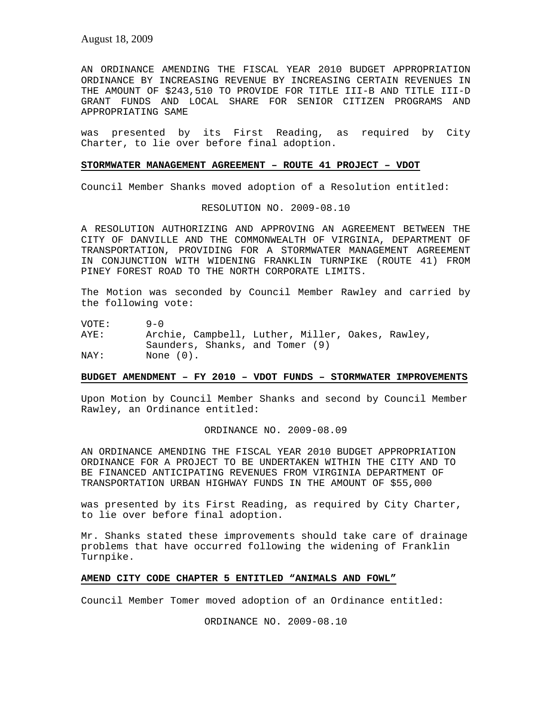AN ORDINANCE AMENDING THE FISCAL YEAR 2010 BUDGET APPROPRIATION ORDINANCE BY INCREASING REVENUE BY INCREASING CERTAIN REVENUES IN THE AMOUNT OF \$243,510 TO PROVIDE FOR TITLE III-B AND TITLE III-D GRANT FUNDS AND LOCAL SHARE FOR SENIOR CITIZEN PROGRAMS AND APPROPRIATING SAME

was presented by its First Reading, as required by City Charter, to lie over before final adoption.

### **STORMWATER MANAGEMENT AGREEMENT – ROUTE 41 PROJECT – VDOT**

Council Member Shanks moved adoption of a Resolution entitled:

RESOLUTION NO. 2009-08.10

A RESOLUTION AUTHORIZING AND APPROVING AN AGREEMENT BETWEEN THE CITY OF DANVILLE AND THE COMMONWEALTH OF VIRGINIA, DEPARTMENT OF TRANSPORTATION, PROVIDING FOR A STORMWATER MANAGEMENT AGREEMENT IN CONJUNCTION WITH WIDENING FRANKLIN TURNPIKE (ROUTE 41) FROM PINEY FOREST ROAD TO THE NORTH CORPORATE LIMITS.

The Motion was seconded by Council Member Rawley and carried by the following vote:

VOTE: 9-0

AYE: Archie, Campbell, Luther, Miller, Oakes, Rawley, Saunders, Shanks, and Tomer (9) NAY: None  $(0)$ .

# **BUDGET AMENDMENT – FY 2010 – VDOT FUNDS – STORMWATER IMPROVEMENTS**

Upon Motion by Council Member Shanks and second by Council Member Rawley, an Ordinance entitled:

ORDINANCE NO. 2009-08.09

AN ORDINANCE AMENDING THE FISCAL YEAR 2010 BUDGET APPROPRIATION ORDINANCE FOR A PROJECT TO BE UNDERTAKEN WITHIN THE CITY AND TO BE FINANCED ANTICIPATING REVENUES FROM VIRGINIA DEPARTMENT OF TRANSPORTATION URBAN HIGHWAY FUNDS IN THE AMOUNT OF \$55,000

was presented by its First Reading, as required by City Charter, to lie over before final adoption.

Mr. Shanks stated these improvements should take care of drainage problems that have occurred following the widening of Franklin Turnpike.

#### **AMEND CITY CODE CHAPTER 5 ENTITLED "ANIMALS AND FOWL"**

Council Member Tomer moved adoption of an Ordinance entitled:

ORDINANCE NO. 2009-08.10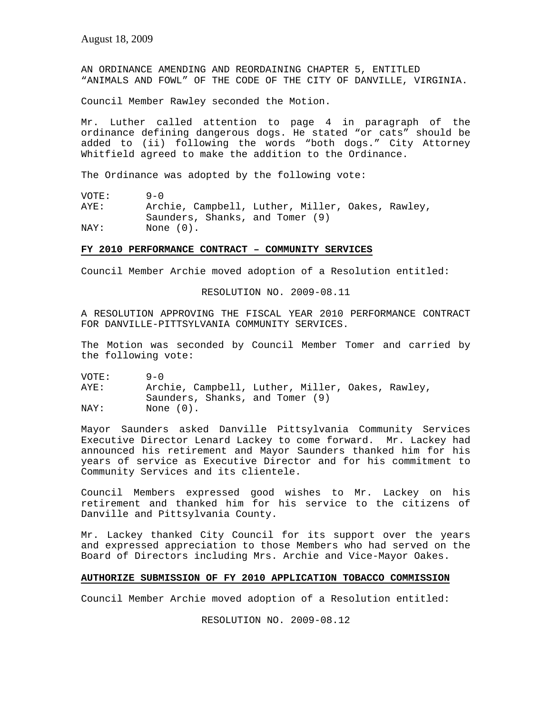AN ORDINANCE AMENDING AND REORDAINING CHAPTER 5, ENTITLED "ANIMALS AND FOWL" OF THE CODE OF THE CITY OF DANVILLE, VIRGINIA.

Council Member Rawley seconded the Motion.

Mr. Luther called attention to page 4 in paragraph of the ordinance defining dangerous dogs. He stated "or cats" should be added to (ii) following the words "both dogs." City Attorney Whitfield agreed to make the addition to the Ordinance.

The Ordinance was adopted by the following vote:

VOTE: 9-0 AYE: Archie, Campbell, Luther, Miller, Oakes, Rawley, Saunders, Shanks, and Tomer (9) NAY: None  $(0)$ .

# **FY 2010 PERFORMANCE CONTRACT – COMMUNITY SERVICES**

Council Member Archie moved adoption of a Resolution entitled:

RESOLUTION NO. 2009-08.11

A RESOLUTION APPROVING THE FISCAL YEAR 2010 PERFORMANCE CONTRACT FOR DANVILLE-PITTSYLVANIA COMMUNITY SERVICES.

The Motion was seconded by Council Member Tomer and carried by the following vote:

VOTE: 9-0 AYE: Archie, Campbell, Luther, Miller, Oakes, Rawley, Saunders, Shanks, and Tomer (9) NAY: None  $(0)$ .

Mayor Saunders asked Danville Pittsylvania Community Services Executive Director Lenard Lackey to come forward. Mr. Lackey had announced his retirement and Mayor Saunders thanked him for his years of service as Executive Director and for his commitment to Community Services and its clientele.

Council Members expressed good wishes to Mr. Lackey on his retirement and thanked him for his service to the citizens of Danville and Pittsylvania County.

Mr. Lackey thanked City Council for its support over the years and expressed appreciation to those Members who had served on the Board of Directors including Mrs. Archie and Vice-Mayor Oakes.

### **AUTHORIZE SUBMISSION OF FY 2010 APPLICATION TOBACCO COMMISSION**

Council Member Archie moved adoption of a Resolution entitled:

RESOLUTION NO. 2009-08.12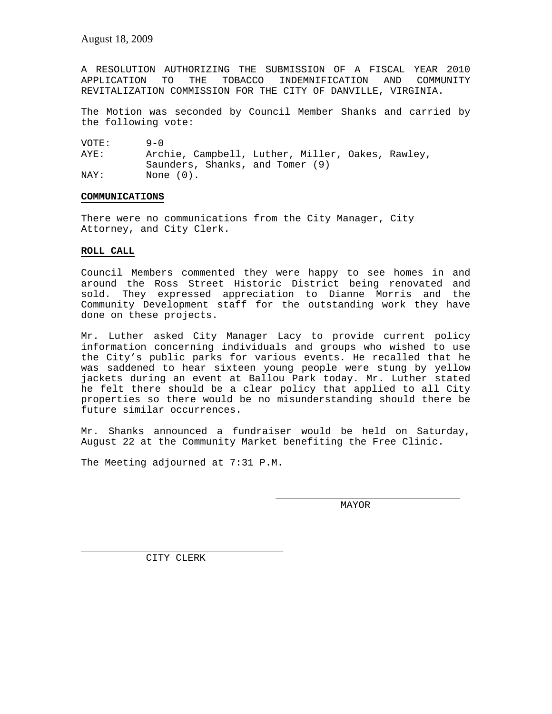A RESOLUTION AUTHORIZING THE SUBMISSION OF A FISCAL YEAR 2010 APPLICATION TO THE TOBACCO INDEMNIFICATION AND COMMUNITY REVITALIZATION COMMISSION FOR THE CITY OF DANVILLE, VIRGINIA.

The Motion was seconded by Council Member Shanks and carried by the following vote:

VOTE: 9-0 AYE: Archie, Campbell, Luther, Miller, Oakes, Rawley, Saunders, Shanks, and Tomer (9) NAY: None  $(0)$ .

## **COMMUNICATIONS**

There were no communications from the City Manager, City Attorney, and City Clerk.

# **ROLL CALL**

Council Members commented they were happy to see homes in and around the Ross Street Historic District being renovated and sold. They expressed appreciation to Dianne Morris and the Community Development staff for the outstanding work they have done on these projects.

Mr. Luther asked City Manager Lacy to provide current policy information concerning individuals and groups who wished to use the City's public parks for various events. He recalled that he was saddened to hear sixteen young people were stung by yellow jackets during an event at Ballou Park today. Mr. Luther stated he felt there should be a clear policy that applied to all City properties so there would be no misunderstanding should there be future similar occurrences.

Mr. Shanks announced a fundraiser would be held on Saturday, August 22 at the Community Market benefiting the Free Clinic.

The Meeting adjourned at 7:31 P.M.

MAYOR

\_\_\_\_\_\_\_\_\_\_\_\_\_\_\_\_\_\_\_\_\_\_\_\_\_\_\_\_\_\_\_

\_\_\_\_\_\_\_\_\_\_\_\_\_\_\_\_\_\_\_\_\_\_\_\_\_\_\_\_\_\_\_\_\_\_ CITY CLERK